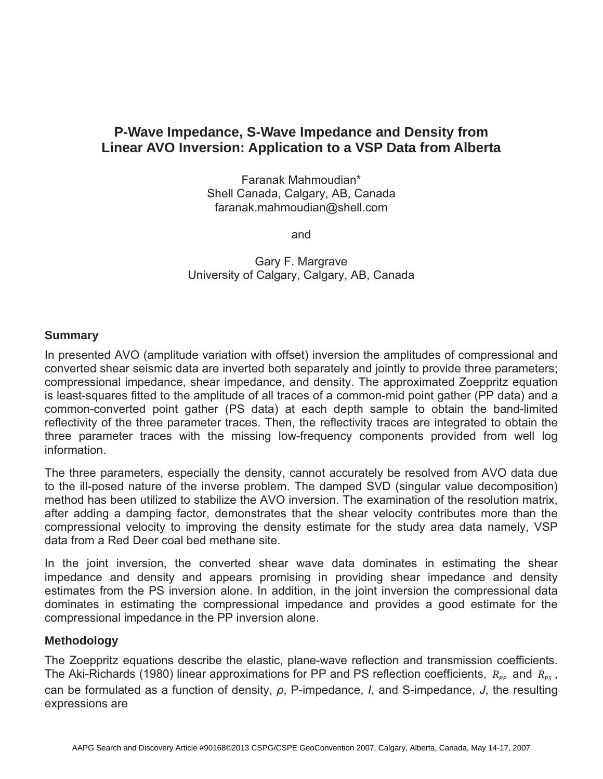# **P-Wave Impedance, S-Wave Impedance and Density from Linear AVO Inversion: Application to a VSP Data from Alberta**

Faranak Mahmoudian\* Shell Canada, Calgary, AB, Canada faranak.mahmoudian@shell.com

and

Gary F. Margrave University of Calgary, Calgary, AB, Canada

### **Summary**

In presented AVO (amplitude variation with offset) inversion the amplitudes of compressional and converted shear seismic data are inverted both separately and jointly to provide three parameters; compressional impedance, shear impedance, and density. The approximated Zoeppritz equation is least-squares fitted to the amplitude of all traces of a common-mid point gather (PP data) and a common-converted point gather (PS data) at each depth sample to obtain the band-limited reflectivity of the three parameter traces. Then, the reflectivity traces are integrated to obtain the three parameter traces with the missing low-frequency components provided from well log information.

The three parameters, especially the density, cannot accurately be resolved from AVO data due to the ill-posed nature of the inverse problem. The damped SVD (singular value decomposition) method has been utilized to stabilize the AVO inversion. The examination of the resolution matrix, after adding a damping factor, demonstrates that the shear velocity contributes more than the compressional velocity to improving the density estimate for the study area data namely, VSP data from a Red Deer coal bed methane site.

In the joint inversion, the converted shear wave data dominates in estimating the shear impedance and density and appears promising in providing shear impedance and density estimates from the PS inversion alone. In addition, in the joint inversion the compressional data dominates in estimating the compressional impedance and provides a good estimate for the compressional impedance in the PP inversion alone.

### **Methodology**

The Zoeppritz equations describe the elastic, plane-wave reflection and transmission coefficients. The Aki-Richards (1980) linear approximations for PP and PS reflection coefficients,  $R_{\text{p}p}$  and  $R_{\text{p}s}$ , can be formulated as a function of density,  $\rho$ , P-impedance, *I*, and S-impedance, *J*, the resulting expressions are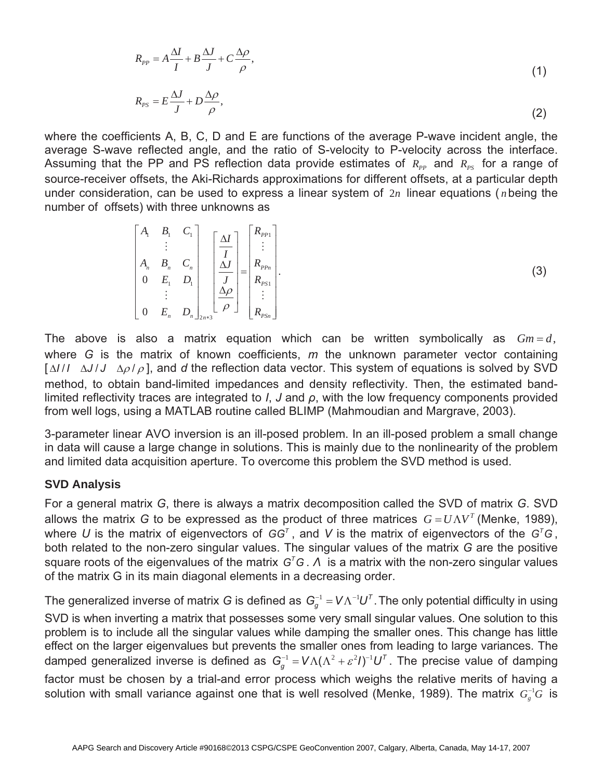$$
R_{PP} = A\frac{\Delta I}{I} + B\frac{\Delta J}{J} + C\frac{\Delta \rho}{\rho},\tag{1}
$$

$$
R_{PS} = E \frac{\Delta J}{J} + D \frac{\Delta \rho}{\rho},\tag{2}
$$

where the coefficients A, B, C, D and E are functions of the average P-wave incident angle, the average S-wave reflected angle, and the ratio of S-velocity to P-velocity across the interface. Assuming that the PP and PS reflection data provide estimates of  $R_{pp}$  and  $R_{pg}$  for a range of source-receiver offsets, the Aki-Richards approximations for different offsets, at a particular depth under consideration, can be used to express a linear system of 2*n* linear equations ( *n*being the number of offsets) with three unknowns as

$$
\begin{bmatrix}\nA_1 & B_1 & C_1 \\
\vdots & \vdots & \vdots \\
A_n & B_n & C_n \\
0 & E_1 & D_1 \\
\vdots & \vdots & \vdots \\
0 & E_n & D_n\n\end{bmatrix}\n\begin{bmatrix}\n\Delta I \\
\Delta J \\
\Delta J \\
\Delta P \\
\Xi \end{bmatrix}\n=\n\begin{bmatrix}\nR_{PPI} \\
\vdots \\
R_{PPI} \\
R_{PSI} \\
\vdots \\
R_{PS1}\n\end{bmatrix}.
$$
\n(3)

The above is also a matrix equation which can be written symbolically as  $Gm = d$ , where *G* is the matrix of known coefficients, *m* the unknown parameter vector containing  $[\Delta I/I \Delta J/J \Delta \rho / \rho]$ , and *d* the reflection data vector. This system of equations is solved by SVD method, to obtain band-limited impedances and density reflectivity. Then, the estimated bandlimited reflectivity traces are integrated to *I*, *J* and  $\rho$ , with the low frequency components provided from well logs, using a MATLAB routine called BLIMP (Mahmoudian and Margrave, 2003).

3-parameter linear AVO inversion is an ill-posed problem. In an ill-posed problem a small change in data will cause a large change in solutions. This is mainly due to the nonlinearity of the problem and limited data acquisition aperture. To overcome this problem the SVD method is used.

#### **SVD Analysis**

For a general matrix *G*, there is always a matrix decomposition called the SVD of matrix *G*. SVD allows the matrix *G* to be expressed as the product of three matrices  $G = U\Lambda V^T$  (Menke, 1989), where U is the matrix of eigenvectors of  $GG<sup>T</sup>$ , and V is the matrix of eigenvectors of the  $G<sup>T</sup>G$ , both related to the non-zero singular values. The singular values of the matrix *G* are the positive square roots of the eigenvalues of the matrix  $G<sup>T</sup>G$ . A is a matrix with the non-zero singular values of the matrix G in its main diagonal elements in a decreasing order.

The generalized inverse of matrix *G* is defined as  $G_q^{-1} = V \Lambda^{-1} U^T$ . The only potential difficulty in using SVD is when inverting a matrix that possesses some very small singular values. One solution to this problem is to include all the singular values while damping the smaller ones. This change has little effect on the larger eigenvalues but prevents the smaller ones from leading to large variances. The damped generalized inverse is defined as  $G_a^{-1} = V \Lambda (\Lambda^2 + \varepsilon^2 I)^{-1} U^T$ . The precise value of damping factor must be chosen by a trial-and error process which weighs the relative merits of having a solution with small variance against one that is well resolved (Menke, 1989). The matrix  $G_s^{-1}$ <sup>G</sup> is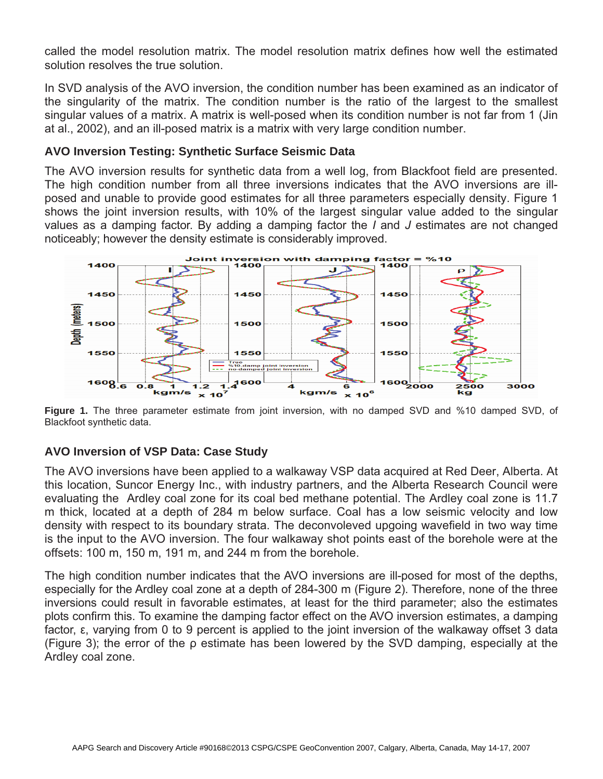called the model resolution matrix. The model resolution matrix defines how well the estimated solution resolves the true solution.

In SVD analysis of the AVO inversion, the condition number has been examined as an indicator of the singularity of the matrix. The condition number is the ratio of the largest to the smallest singular values of a matrix. A matrix is well-posed when its condition number is not far from 1 (Jin at al., 2002), and an ill-posed matrix is a matrix with very large condition number.

## **AVO Inversion Testing: Synthetic Surface Seismic Data**

The AVO inversion results for synthetic data from a well log, from Blackfoot field are presented. The high condition number from all three inversions indicates that the AVO inversions are illposed and unable to provide good estimates for all three parameters especially density. Figure 1 shows the joint inversion results, with 10% of the largest singular value added to the singular values as a damping factor. By adding a damping factor the *I* and *J* estimates are not changed noticeably; however the density estimate is considerably improved.



**Figure 1.** The three parameter estimate from joint inversion, with no damped SVD and %10 damped SVD, of Blackfoot synthetic data.

# **AVO Inversion of VSP Data: Case Study**

The AVO inversions have been applied to a walkaway VSP data acquired at Red Deer, Alberta. At this location, Suncor Energy Inc., with industry partners, and the Alberta Research Council were evaluating the Ardley coal zone for its coal bed methane potential. The Ardley coal zone is 11.7 m thick, located at a depth of 284 m below surface. Coal has a low seismic velocity and low density with respect to its boundary strata. The deconvoleved upgoing wavefield in two way time is the input to the AVO inversion. The four walkaway shot points east of the borehole were at the offsets: 100 m, 150 m, 191 m, and 244 m from the borehole.

The high condition number indicates that the AVO inversions are ill-posed for most of the depths, especially for the Ardley coal zone at a depth of 284-300 m (Figure 2). Therefore, none of the three inversions could result in favorable estimates, at least for the third parameter; also the estimates plots confirm this. To examine the damping factor effect on the AVO inversion estimates, a damping factor, ε, varying from 0 to 9 percent is applied to the joint inversion of the walkaway offset 3 data (Figure 3); the error of the  $\rho$  estimate has been lowered by the SVD damping, especially at the Ardley coal zone.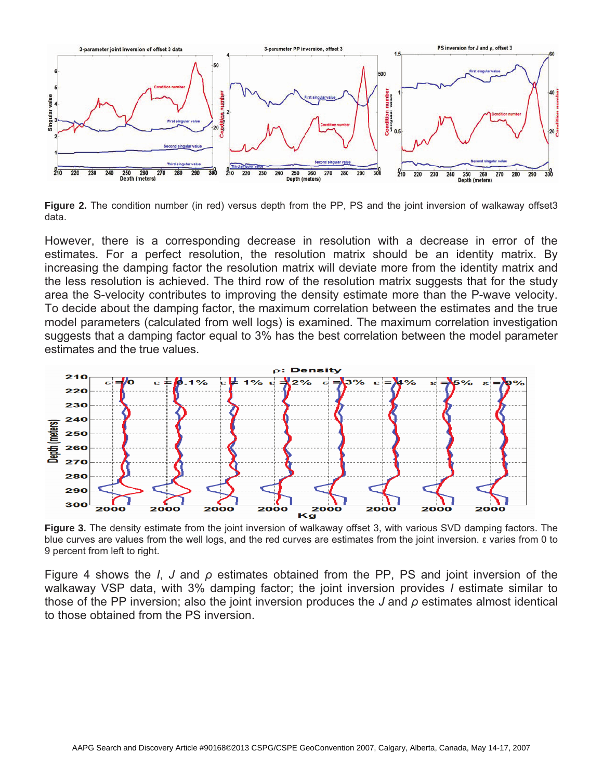

**Figure 2.** The condition number (in red) versus depth from the PP, PS and the joint inversion of walkaway offset3 data.

However, there is a corresponding decrease in resolution with a decrease in error of the estimates. For a perfect resolution, the resolution matrix should be an identity matrix. By increasing the damping factor the resolution matrix will deviate more from the identity matrix and the less resolution is achieved. The third row of the resolution matrix suggests that for the study area the S-velocity contributes to improving the density estimate more than the P-wave velocity. To decide about the damping factor, the maximum correlation between the estimates and the true model parameters (calculated from well logs) is examined. The maximum correlation investigation suggests that a damping factor equal to 3% has the best correlation between the model parameter estimates and the true values.



**Figure 3.** The density estimate from the joint inversion of walkaway offset 3, with various SVD damping factors. The blue curves are values from the well logs, and the red curves are estimates from the joint inversion.  $\varepsilon$  varies from 0 to 9 percent from left to right.

Figure 4 shows the *I*, *J* and  $\rho$  estimates obtained from the PP, PS and joint inversion of the walkaway VSP data, with 3% damping factor; the joint inversion provides *I* estimate similar to those of the PP inversion; also the joint inversion produces the  $J$  and  $\rho$  estimates almost identical to those obtained from the PS inversion.